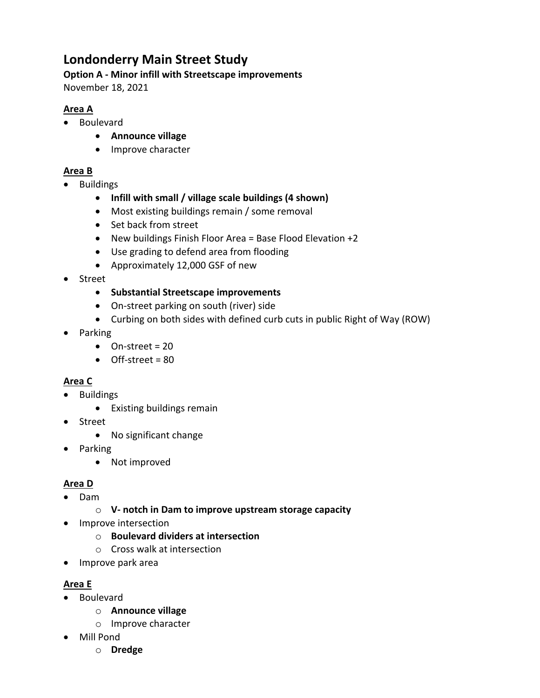# **Londonderry Main Street Study**

#### **Option A ‐ Minor infill with Streetscape improvements**

November 18, 2021

# **Area A**

- Boulevard
	- **Announce village**
	- Improve character

## **Area B**

- Buildings
	- **Infill with small / village scale buildings (4 shown)**
	- Most existing buildings remain / some removal
	- Set back from street
	- New buildings Finish Floor Area = Base Flood Elevation +2
	- Use grading to defend area from flooding
	- Approximately 12,000 GSF of new
- Street
	- **Substantial Streetscape improvements**
	- On-street parking on south (river) side
	- Curbing on both sides with defined curb cuts in public Right of Way (ROW)
- Parking
	- $\bullet$  On-street = 20
	- Off‐street = 80

# **Area C**

- Buildings
	- Existing buildings remain
- Street
	- No significant change
- Parking
	- Not improved

# **Area D**

- Dam
	- o **V‐ notch in Dam to improve upstream storage capacity**
- Improve intersection
	- o **Boulevard dividers at intersection**
	- o Cross walk at intersection
- Improve park area

# **Area E**

- Boulevard
	- o **Announce village**
	- o Improve character
- Mill Pond
	- o **Dredge**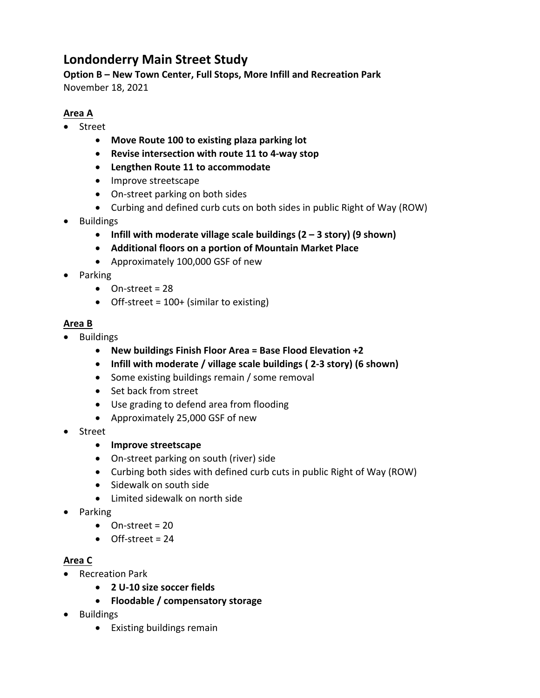# **Londonderry Main Street Study**

**Option B – New Town Center, Full Stops, More Infill and Recreation Park** November 18, 2021

### **Area A**

- Street
	- **Move Route 100 to existing plaza parking lot**
	- **Revise intersection with route 11 to 4‐way stop**
	- **Lengthen Route 11 to accommodate**
	- Improve streetscape
	- On-street parking on both sides
	- Curbing and defined curb cuts on both sides in public Right of Way (ROW)
- Buildings
	- **Infill with moderate village scale buildings (2 – 3 story) (9 shown)**
	- **Additional floors on a portion of Mountain Market Place**
	- Approximately 100,000 GSF of new
- Parking
	- On-street = 28
	- Off-street = 100+ (similar to existing)

#### **Area B**

- Buildings
	- **New buildings Finish Floor Area = Base Flood Elevation +2**
	- **Infill with moderate / village scale buildings ( 2‐3 story) (6 shown)**
	- Some existing buildings remain / some removal
	- Set back from street
	- Use grading to defend area from flooding
	- Approximately 25,000 GSF of new
- Street
	- **Improve streetscape**
	- On-street parking on south (river) side
	- Curbing both sides with defined curb cuts in public Right of Way (ROW)
	- Sidewalk on south side
	- Limited sidewalk on north side
- Parking
	- $\bullet$  On-street = 20
	- $\bullet$  Off-street = 24

## **Area C**

- Recreation Park
	- **2 U‐10 size soccer fields**
	- **Floodable / compensatory storage**
- Buildings
	- Existing buildings remain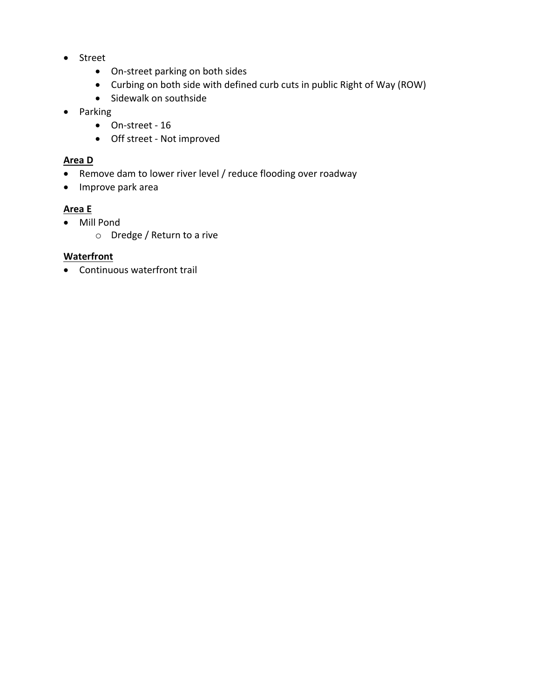- Street
	- On-street parking on both sides
	- Curbing on both side with defined curb cuts in public Right of Way (ROW)
	- Sidewalk on southside
- Parking
	- On‐street ‐ 16
	- Off street Not improved

#### **Area D**

- Remove dam to lower river level / reduce flooding over roadway
- Improve park area

# **Area E**

- Mill Pond
	- o Dredge / Return to a rive

#### **Waterfront**

Continuous waterfront trail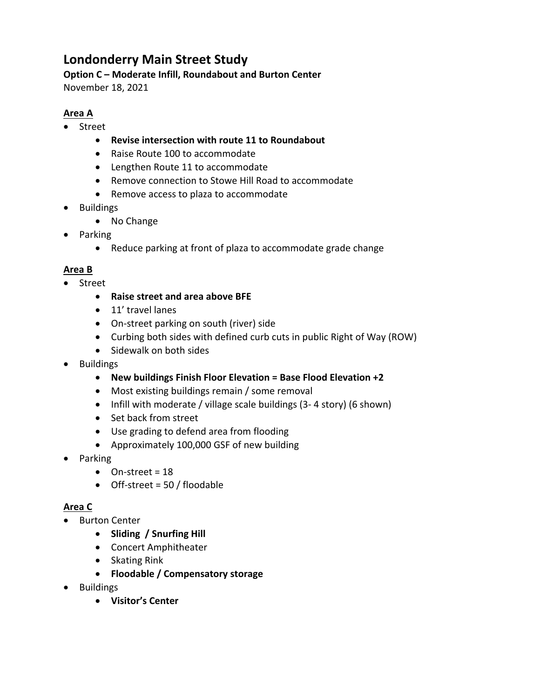# **Londonderry Main Street Study**

#### **Option C – Moderate Infill, Roundabout and Burton Center**

November 18, 2021

# **Area A**

- Street
	- **Revise intersection with route 11 to Roundabout**
	- Raise Route 100 to accommodate
	- Lengthen Route 11 to accommodate
	- Remove connection to Stowe Hill Road to accommodate
	- Remove access to plaza to accommodate
- Buildings
	- No Change
- Parking
	- Reduce parking at front of plaza to accommodate grade change

## **Area B**

- Street
	- **Raise street and area above BFE**
	- 11' travel lanes
	- On-street parking on south (river) side
	- Curbing both sides with defined curb cuts in public Right of Way (ROW)
	- Sidewalk on both sides
- Buildings
	- **New buildings Finish Floor Elevation = Base Flood Elevation +2**
	- Most existing buildings remain / some removal
	- Infill with moderate / village scale buildings (3-4 story) (6 shown)
	- Set back from street
	- Use grading to defend area from flooding
	- Approximately 100,000 GSF of new building
- Parking
	- $\bullet$  On-street = 18
	- Off-street = 50 / floodable

#### **Area C**

- Burton Center
	- **Sliding / Snurfing Hill**
	- Concert Amphitheater
	- Skating Rink
	- **Floodable / Compensatory storage**
- Buildings
	- **Visitor's Center**